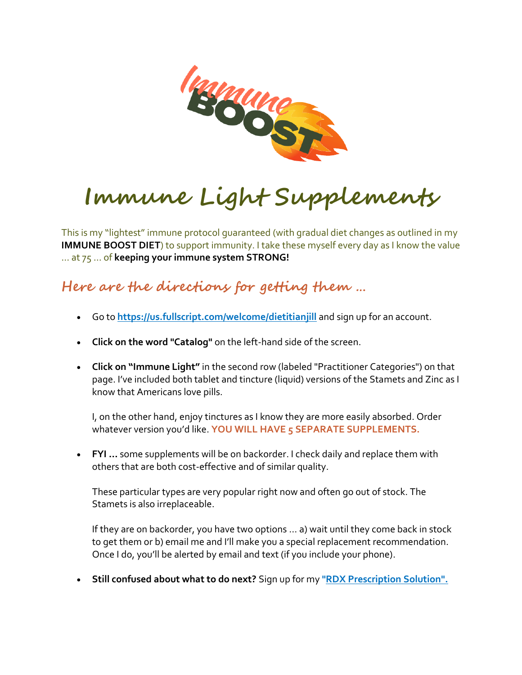

# **Immune Light Supplements**

This is my "lightest" immune protocol guaranteed (with gradual diet changes as outlined in my **IMMUNE BOOST DIET**) to support immunity. I take these myself every day as I know the value … at 75 … of **keeping your immune system STRONG!**

#### **Here are the directions for getting them …**

- Go to **<https://us.fullscript.com/welcome/dietitianjill>** and sign up for an account.
- **Click on the word "Catalog"** on the left-hand side of the screen.
- **Click on "Immune Light"** in the second row (labeled "Practitioner Categories") on that page. I've included both tablet and tincture (liquid) versions of the Stamets and Zinc as I know that Americans love pills.

I, on the other hand, enjoy tinctures as I know they are more easily absorbed. Order whatever version you'd like. **YOU WILL HAVE 5 SEPARATE SUPPLEMENTS.**

• **FYI …** some supplements will be on backorder. I check daily and replace them with others that are both cost-effective and of similar quality.

These particular types are very popular right now and often go out of stock. The Stamets is also irreplaceable.

If they are on backorder, you have two options … a) wait until they come back in stock to get them or b) email me and I'll make you a special replacement recommendation. Once I do, you'll be alerted by email and text (if you include your phone).

• **Still confused about what to do next?** Sign up for my **["RDX Prescription Solution".](https://secure.gethealthie.com/appointments/embed_appt?dietitian_id=107185&require_offering=true&offering_id=12882)**